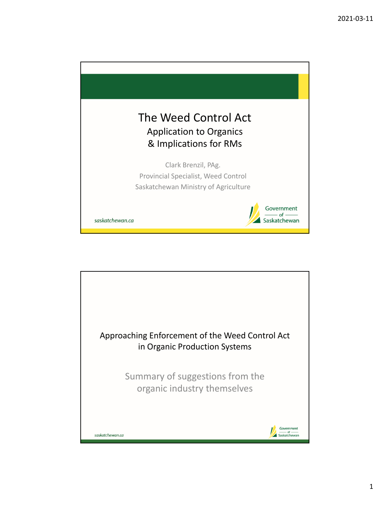

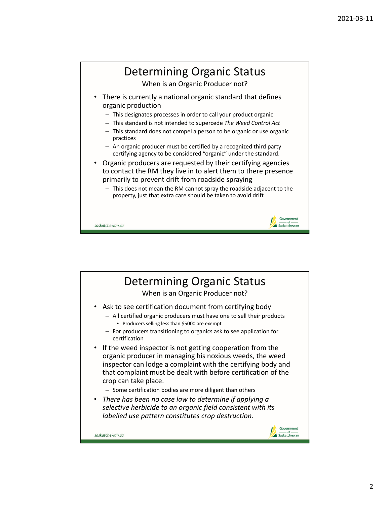

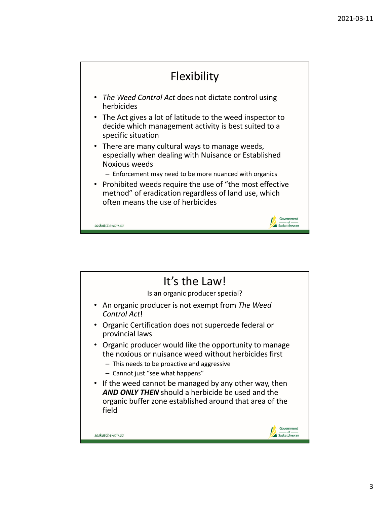

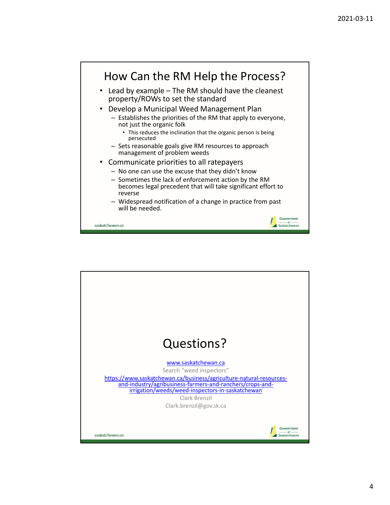